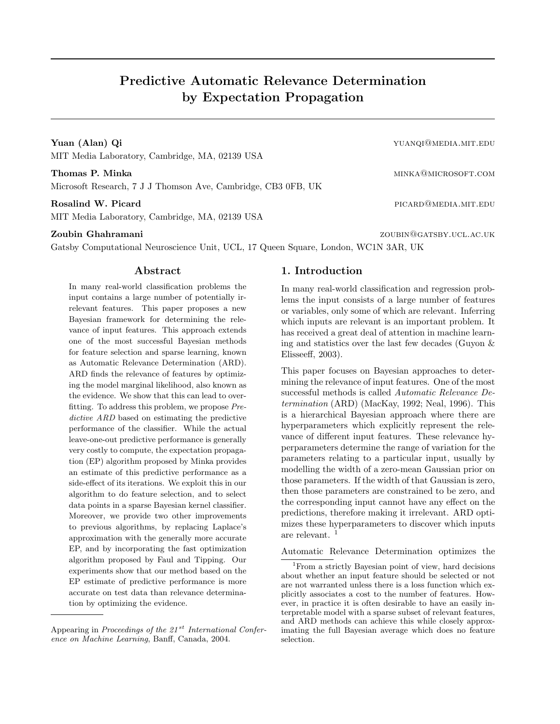# Predictive Automatic Relevance Determination by Expectation Propagation

**Yuan (Alan) Qi** yuanqi@media.mit.edu MIT Media Laboratory, Cambridge, MA, 02139 USA

#### Thomas P. Minka minka minka minka minka minka minka minka minka minka minka minka minka minka minka minka minka

Microsoft Research, 7 J J Thomson Ave, Cambridge, CB3 0FB, UK

MIT Media Laboratory, Cambridge, MA, 02139 USA

#### Zoubin Ghahramani zoubin@gatsby.ucl.ac.uk

Gatsby Computational Neuroscience Unit, UCL, 17 Queen Square, London, WC1N 3AR, UK

### Abstract

In many real-world classification problems the input contains a large number of potentially irrelevant features. This paper proposes a new Bayesian framework for determining the relevance of input features. This approach extends one of the most successful Bayesian methods for feature selection and sparse learning, known as Automatic Relevance Determination (ARD). ARD finds the relevance of features by optimizing the model marginal likelihood, also known as the evidence. We show that this can lead to overfitting. To address this problem, we propose Predictive ARD based on estimating the predictive performance of the classifier. While the actual leave-one-out predictive performance is generally very costly to compute, the expectation propagation (EP) algorithm proposed by Minka provides an estimate of this predictive performance as a side-effect of its iterations. We exploit this in our algorithm to do feature selection, and to select data points in a sparse Bayesian kernel classifier. Moreover, we provide two other improvements to previous algorithms, by replacing Laplace's approximation with the generally more accurate EP, and by incorporating the fast optimization algorithm proposed by Faul and Tipping. Our experiments show that our method based on the EP estimate of predictive performance is more accurate on test data than relevance determination by optimizing the evidence.

## 1. Introduction

In many real-world classification and regression problems the input consists of a large number of features or variables, only some of which are relevant. Inferring which inputs are relevant is an important problem. It has received a great deal of attention in machine learning and statistics over the last few decades (Guyon & Elisseeff, 2003).

This paper focuses on Bayesian approaches to determining the relevance of input features. One of the most successful methods is called Automatic Relevance Determination (ARD) (MacKay, 1992; Neal, 1996). This is a hierarchical Bayesian approach where there are hyperparameters which explicitly represent the relevance of different input features. These relevance hyperparameters determine the range of variation for the parameters relating to a particular input, usually by modelling the width of a zero-mean Gaussian prior on those parameters. If the width of that Gaussian is zero, then those parameters are constrained to be zero, and the corresponding input cannot have any effect on the predictions, therefore making it irrelevant. ARD optimizes these hyperparameters to discover which inputs are relevant. <sup>1</sup>

Automatic Relevance Determination optimizes the

Rosalind W. Picard picard picard picard picard picard picard picard picard picard picard picard picard picard picard picard picard picard picard picard picard picard picard picard picard picard picard picard picard picard

Appearing in Proceedings of the  $21^{st}$  International Conference on Machine Learning, Banff, Canada, 2004.

<sup>&</sup>lt;sup>1</sup>From a strictly Bayesian point of view, hard decisions about whether an input feature should be selected or not are not warranted unless there is a loss function which explicitly associates a cost to the number of features. However, in practice it is often desirable to have an easily interpretable model with a sparse subset of relevant features, and ARD methods can achieve this while closely approximating the full Bayesian average which does no feature selection.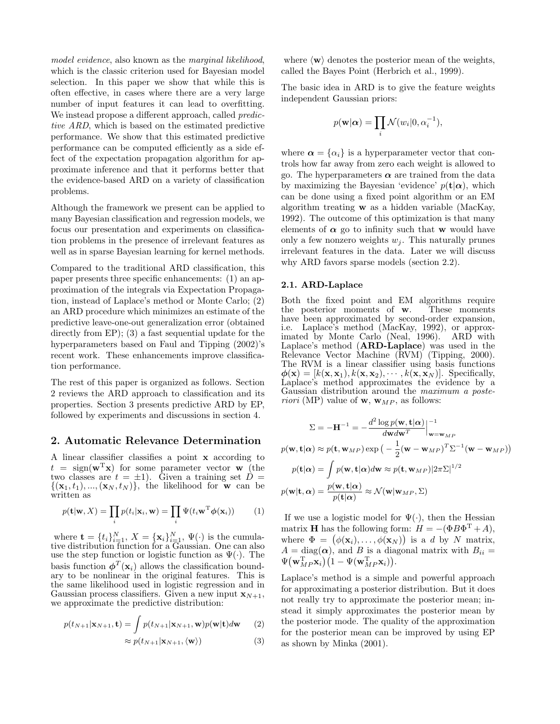model evidence, also known as the marginal likelihood, which is the classic criterion used for Bayesian model selection. In this paper we show that while this is often effective, in cases where there are a very large number of input features it can lead to overfitting. We instead propose a different approach, called *predic*tive ARD, which is based on the estimated predictive performance. We show that this estimated predictive performance can be computed efficiently as a side effect of the expectation propagation algorithm for approximate inference and that it performs better that the evidence-based ARD on a variety of classification problems.

Although the framework we present can be applied to many Bayesian classification and regression models, we focus our presentation and experiments on classification problems in the presence of irrelevant features as well as in sparse Bayesian learning for kernel methods.

Compared to the traditional ARD classification, this paper presents three specific enhancements: (1) an approximation of the integrals via Expectation Propagation, instead of Laplace's method or Monte Carlo; (2) an ARD procedure which minimizes an estimate of the predictive leave-one-out generalization error (obtained directly from EP); (3) a fast sequential update for the hyperparameters based on Faul and Tipping (2002)'s recent work. These enhancements improve classification performance.

The rest of this paper is organized as follows. Section 2 reviews the ARD approach to classification and its properties. Section 3 presents predictive ARD by EP, followed by experiments and discussions in section 4.

#### 2. Automatic Relevance Determination

A linear classifier classifies a point x according to  $t = \text{sign}(\mathbf{w}^T \mathbf{x})$  for some parameter vector **w** (the two classes are  $t = \pm 1$ ). Given a training set  $\dot{D} =$  $\{(\mathbf{x}_1, t_1), ..., (\mathbf{x}_N, t_N)\}\$ , the likelihood for w can be written as

$$
p(\mathbf{t}|\mathbf{w}, X) = \prod_i p(t_i|\mathbf{x}_i, \mathbf{w}) = \prod_i \Psi(t_i \mathbf{w}^{\mathrm{T}} \phi(\mathbf{x}_i)) \qquad (1)
$$

where  $\mathbf{t} = \{t_i\}_{i=1}^N$ ,  $X = \{\mathbf{x}_i\}_{i=1}^N$ ,  $\Psi(\cdot)$  is the cumulative distribution function for a Gaussian. One can also use the step function or logistic function as  $\Psi(\cdot)$ . The basis function  $\boldsymbol{\phi}^T(\mathbf{x}_i)$  allows the classification boundary to be nonlinear in the original features. This is the same likelihood used in logistic regression and in Gaussian process classifiers. Given a new input  $x_{N+1}$ , we approximate the predictive distribution:

$$
p(t_{N+1}|\mathbf{x}_{N+1}, \mathbf{t}) = \int p(t_{N+1}|\mathbf{x}_{N+1}, \mathbf{w}) p(\mathbf{w}|\mathbf{t}) d\mathbf{w} \qquad (2)
$$

$$
\approx p(t_{N+1}|\mathbf{x}_{N+1}, \langle \mathbf{w} \rangle) \tag{3}
$$

where  $\langle \mathbf{w} \rangle$  denotes the posterior mean of the weights, called the Bayes Point (Herbrich et al., 1999).

The basic idea in ARD is to give the feature weights independent Gaussian priors:

$$
p(\mathbf{w}|\boldsymbol{\alpha}) = \prod_{i} \mathcal{N}(w_i|0, \alpha_i^{-1}),
$$

where  $\alpha = {\alpha_i}$  is a hyperparameter vector that controls how far away from zero each weight is allowed to go. The hyperparameters  $\alpha$  are trained from the data by maximizing the Bayesian 'evidence'  $p(\mathbf{t}|\alpha)$ , which can be done using a fixed point algorithm or an EM algorithm treating w as a hidden variable (MacKay, 1992). The outcome of this optimization is that many elements of  $\alpha$  go to infinity such that w would have only a few nonzero weights  $w_i$ . This naturally prunes irrelevant features in the data. Later we will discuss why ARD favors sparse models (section 2.2).

#### 2.1. ARD-Laplace

Both the fixed point and EM algorithms require the posterior moments of  $\mathbf{w}$ . These moments the posterior moments of  $w$ . have been approximated by second-order expansion, i.e. Laplace's method (MacKay, 1992), or approximated by Monte Carlo (Neal, 1996). ARD with Laplace's method (**ARD-Laplace**) was used in the Relevance Vector Machine (RVM) (Tipping, 2000). The RVM is a linear classifier using basis functions  $\phi(\mathbf{x}) = [k(\mathbf{x}, \mathbf{x}_1), k(\mathbf{x}, \mathbf{x}_2), \cdots, k(\mathbf{x}, \mathbf{x}_N)].$  Specifically, Laplace's method approximates the evidence by a Gaussian distribution around the maximum a poste*riori* (MP) value of **w**,  $\mathbf{w}_{MP}$ , as follows:

$$
\Sigma = -\mathbf{H}^{-1} = -\frac{d^2 \log p(\mathbf{w}, \mathbf{t} | \alpha)}{d\mathbf{w} d\mathbf{w}^T}\Big|_{\mathbf{w} = \mathbf{w}_{MP}}^{-1}
$$
  

$$
p(\mathbf{w}, \mathbf{t} | \alpha) \approx p(\mathbf{t}, \mathbf{w}_{MP}) \exp \left( -\frac{1}{2} (\mathbf{w} - \mathbf{w}_{MP})^T \Sigma^{-1} (\mathbf{w} - \mathbf{w}_{MP}) \right)
$$
  

$$
p(\mathbf{t} | \alpha) = \int p(\mathbf{w}, \mathbf{t} | \alpha) d\mathbf{w} \approx p(\mathbf{t}, \mathbf{w}_{MP}) |2\pi \Sigma|^{1/2}
$$
  

$$
p(\mathbf{w} | \mathbf{t}, \alpha) = \frac{p(\mathbf{w}, \mathbf{t} | \alpha)}{p(\mathbf{t} | \alpha)} \approx \mathcal{N}(\mathbf{w} | \mathbf{w}_{MP}, \Sigma)
$$

If we use a logistic model for  $\Psi(\cdot)$ , then the Hessian matrix **H** has the following form:  $H = -(\Phi B \Phi^{T} + A),$ where  $\Phi = (\phi(\mathbf{x}_i), \dots, \phi(\mathbf{x}_N))$  is a d by N matrix,  $A = diag(\boldsymbol{\alpha})$ , and B is a diagonal matrix with  $B_{ii} =$  $\Psi \big(\mathbf{w }_{MP}^{\mathrm{T}}\mathbf{x}_i\big)\big(1-\Psi (\mathbf{w }_{MP}^{\mathrm{T}}\mathbf{x}_i)\big).$ 

Laplace's method is a simple and powerful approach for approximating a posterior distribution. But it does not really try to approximate the posterior mean; instead it simply approximates the posterior mean by the posterior mode. The quality of the approximation for the posterior mean can be improved by using EP as shown by Minka (2001).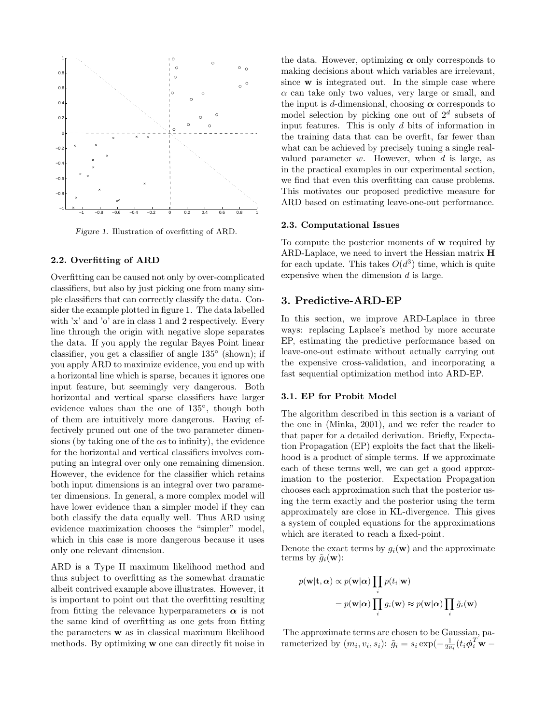

Figure 1. Illustration of overfitting of ARD.

#### 2.2. Overfitting of ARD

Overfitting can be caused not only by over-complicated classifiers, but also by just picking one from many simple classifiers that can correctly classify the data. Consider the example plotted in figure 1. The data labelled with 'x' and 'o' are in class 1 and 2 respectively. Every line through the origin with negative slope separates the data. If you apply the regular Bayes Point linear classifier, you get a classifier of angle 135◦ (shown); if you apply ARD to maximize evidence, you end up with a horizontal line which is sparse, becaues it ignores one input feature, but seemingly very dangerous. Both horizontal and vertical sparse classifiers have larger evidence values than the one of 135◦ , though both of them are intuitively more dangerous. Having effectively pruned out one of the two parameter dimensions (by taking one of the  $\alpha$ s to infinity), the evidence for the horizontal and vertical classifiers involves computing an integral over only one remaining dimension. However, the evidence for the classifier which retains both input dimensions is an integral over two parameter dimensions. In general, a more complex model will have lower evidence than a simpler model if they can both classify the data equally well. Thus ARD using evidence maximization chooses the "simpler" model, which in this case is more dangerous because it uses only one relevant dimension.

ARD is a Type II maximum likelihood method and thus subject to overfitting as the somewhat dramatic albeit contrived example above illustrates. However, it is important to point out that the overfitting resulting from fitting the relevance hyperparameters  $\alpha$  is not the same kind of overfitting as one gets from fitting the parameters w as in classical maximum likelihood methods. By optimizing w one can directly fit noise in

the data. However, optimizing  $\alpha$  only corresponds to making decisions about which variables are irrelevant, since w is integrated out. In the simple case where  $\alpha$  can take only two values, very large or small, and the input is d-dimensional, choosing  $\alpha$  corresponds to model selection by picking one out of  $2^d$  subsets of input features. This is only  $d$  bits of information in the training data that can be overfit, far fewer than what can be achieved by precisely tuning a single realvalued parameter  $w$ . However, when  $d$  is large, as in the practical examples in our experimental section, we find that even this overfitting can cause problems. This motivates our proposed predictive measure for ARD based on estimating leave-one-out performance.

#### 2.3. Computational Issues

To compute the posterior moments of w required by ARD-Laplace, we need to invert the Hessian matrix H for each update. This takes  $O(d^3)$  time, which is quite expensive when the dimension d is large.

#### 3. Predictive-ARD-EP

In this section, we improve ARD-Laplace in three ways: replacing Laplace's method by more accurate EP, estimating the predictive performance based on leave-one-out estimate without actually carrying out the expensive cross-validation, and incorporating a fast sequential optimization method into ARD-EP.

#### 3.1. EP for Probit Model

The algorithm described in this section is a variant of the one in (Minka, 2001), and we refer the reader to that paper for a detailed derivation. Briefly, Expectation Propagation (EP) exploits the fact that the likelihood is a product of simple terms. If we approximate each of these terms well, we can get a good approximation to the posterior. Expectation Propagation chooses each approximation such that the posterior using the term exactly and the posterior using the term approximately are close in KL-divergence. This gives a system of coupled equations for the approximations which are iterated to reach a fixed-point.

Denote the exact terms by  $g_i(\mathbf{w})$  and the approximate terms by  $\tilde{g}_i(\mathbf{w})$ :

$$
p(\mathbf{w}|\mathbf{t}, \alpha) \propto p(\mathbf{w}|\alpha) \prod_{i} p(t_i|\mathbf{w})
$$
  
=  $p(\mathbf{w}|\alpha) \prod_{i} g_i(\mathbf{w}) \approx p(\mathbf{w}|\alpha) \prod_{i} \tilde{g}_i(\mathbf{w})$ 

The approximate terms are chosen to be Gaussian, parameterized by  $(m_i, v_i, s_i)$ :  $\tilde{g}_i = s_i \exp(-\frac{1}{2v_i}(t_i \phi_i^T \mathbf{w} -$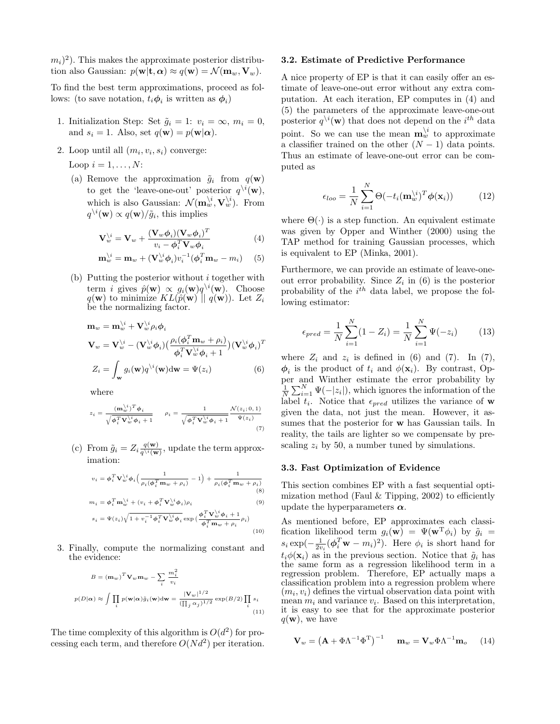$(m<sub>i</sub>)<sup>2</sup>$ ). This makes the approximate posterior distribution also Gaussian:  $p(\mathbf{w}|\mathbf{t}, \alpha) \approx q(\mathbf{w}) = \mathcal{N}(\mathbf{m}_w, \mathbf{V}_w).$ 

To find the best term approximations, proceed as follows: (to save notation,  $t_i \phi_i$  is written as  $\phi_i$ )

- 1. Initialization Step: Set  $\tilde{g}_i = 1$ :  $v_i = \infty$ ,  $m_i = 0$ , and  $s_i = 1$ . Also, set  $q(\mathbf{w}) = p(\mathbf{w}|\alpha)$ .
- 2. Loop until all  $(m_i, v_i, s_i)$  converge:

Loop  $i = 1, \ldots, N$ :

(a) Remove the approximation  $\tilde{g}_i$  from  $q(\mathbf{w})$ to get the 'leave-one-out' posterior  $q^{\backslash i}(\mathbf{w})$ , which is also Gaussian:  $\mathcal{N}(\mathbf{m}_w^{\backslash i}, \mathbf{V}_w^{\backslash i})$ . From  $q^{\setminus i}(\mathbf{w}) \propto q(\mathbf{w})/\tilde{g}_i$ , this implies

$$
\mathbf{V}_{w}^{\backslash i} = \mathbf{V}_{w} + \frac{(\mathbf{V}_{w} \boldsymbol{\phi}_{i})(\mathbf{V}_{w} \boldsymbol{\phi}_{i})^{T}}{v_{i} - \boldsymbol{\phi}_{i}^{T} \mathbf{V}_{w} \boldsymbol{\phi}_{i}}
$$
(4)

$$
\mathbf{m}_w^{\backslash i} = \mathbf{m}_w + (\mathbf{V}_w^{\backslash i} \boldsymbol{\phi}_i) v_i^{-1} (\boldsymbol{\phi}_i^T \mathbf{m}_w - m_i) \quad (5)
$$

(b) Putting the posterior without  $i$  together with term *i* gives  $\hat{p}(\mathbf{w}) \propto g_i(\mathbf{w})q^{\setminus i}(\mathbf{w})$ . Choose  $q(\mathbf{w})$  to minimize  $KL(\hat{p}(\mathbf{w}) || q(\mathbf{w}))$ . Let  $Z_i$ be the normalizing factor.

 $\sqrt{2}$ 

$$
\mathbf{m}_{w} = \mathbf{m}_{w}^{\backslash i} + \mathbf{V}_{w}^{\backslash i} \rho_{i} \phi_{i}
$$
  
\n
$$
\mathbf{V}_{w} = \mathbf{V}_{w}^{\backslash i} - (\mathbf{V}_{w}^{\backslash i} \phi_{i}) \left( \frac{\rho_{i} (\phi_{i}^{T} \mathbf{m}_{w} + \rho_{i})}{\phi_{i}^{T} \mathbf{V}_{w}^{\backslash i} \phi_{i} + 1} \right) (\mathbf{V}_{w}^{\backslash i} \phi_{i})^{T}
$$
  
\n
$$
Z_{i} = \int_{\mathbf{w}} g_{i}(\mathbf{w}) q^{\backslash i}(\mathbf{w}) d\mathbf{w} = \Psi(z_{i})
$$
(6)

where

$$
z_i = \frac{(\mathbf{m}_w^{\backslash i})^T \boldsymbol{\phi}_i}{\sqrt{\boldsymbol{\phi}_i^T \mathbf{V}_w^{\backslash i} \boldsymbol{\phi}_i + 1}} \qquad \rho_i = \frac{1}{\sqrt{\boldsymbol{\phi}_i^T \mathbf{V}_w^{\backslash i} \boldsymbol{\phi}_i + 1}} \frac{\mathcal{N}(z_i; 0, 1)}{\Psi(z_i)}
$$
(7)

(c) From  $\tilde{g}_i = Z_i \frac{q(\mathbf{w})}{q \setminus i(\mathbf{w})}$  $\frac{q(\mathbf{w})}{q^{\setminus i}(\mathbf{w})}$ , update the term approximation:

$$
v_i = \phi_i^T \mathbf{V}_w^{\backslash i} \phi_i \Big( \frac{1}{\rho_i (\phi_i^T \mathbf{m}_w + \rho_i)} - 1 \Big) + \frac{1}{\rho_i (\phi_i^T \mathbf{m}_w + \rho_i)} \tag{8}
$$
  

$$
m_i = \phi_i^T \mathbf{m}_w^{\backslash i} + (v_i + \phi_i^T \mathbf{V}_w^{\backslash i} \phi_i) \rho_i \tag{9}
$$
  

$$
s_i = \Psi(z_i) \sqrt{1 + v_i^{-1} \phi_i^T \mathbf{V}_w^{\backslash i} \phi_i} \exp \big( \frac{\phi_i^T \mathbf{V}_w^{\backslash i} \phi_i + 1}{\phi_i^T \mathbf{m}_w + \rho_i} \rho_i \big)
$$
  
(10)

3. Finally, compute the normalizing constant and the evidence:

$$
B = (\mathbf{m}_w)^T \mathbf{V}_w \mathbf{m}_w - \sum_i \frac{m_i^2}{v_i}
$$
  

$$
p(D|\alpha) \approx \int \prod_i p(\mathbf{w}|\alpha) \tilde{g}_i(\mathbf{w}) d\mathbf{w} = \frac{|\mathbf{V}_w|^{1/2}}{(\prod_j \alpha_j)^{1/2}} \exp(B/2) \prod_i s_i
$$
(11)

The time complexity of this algorithm is  $O(d^2)$  for processing each term, and therefore  $O(Nd^2)$  per iteration.

#### 3.2. Estimate of Predictive Performance

A nice property of EP is that it can easily offer an estimate of leave-one-out error without any extra computation. At each iteration, EP computes in (4) and (5) the parameters of the approximate leave-one-out posterior  $q^{\backslash i}(\mathbf{w})$  that does not depend on the  $i^{th}$  data point. So we can use the mean  $\mathbf{m}_w^{\backslash i}$  to approximate a classifier trained on the other  $(N-1)$  data points. Thus an estimate of leave-one-out error can be computed as

$$
\epsilon_{loo} = \frac{1}{N} \sum_{i=1}^{N} \Theta(-t_i(\mathbf{m}_w^{\backslash i})^T \boldsymbol{\phi}(\mathbf{x}_i))
$$
(12)

where  $\Theta(\cdot)$  is a step function. An equivalent estimate was given by Opper and Winther (2000) using the TAP method for training Gaussian processes, which is equivalent to EP (Minka, 2001).

Furthermore, we can provide an estimate of leave-oneout error probability. Since  $Z_i$  in (6) is the posterior probability of the  $i^{th}$  data label, we propose the following estimator:

$$
\epsilon_{pred} = \frac{1}{N} \sum_{i=1}^{N} (1 - Z_i) = \frac{1}{N} \sum_{i=1}^{N} \Psi(-z_i)
$$
 (13)

where  $Z_i$  and  $z_i$  is defined in (6) and (7). In (7),  $\phi_i$  is the product of  $t_i$  and  $\phi(\mathbf{x}_i)$ . By contrast, Opper and Winther estimate the error probability by  $\frac{1}{N}\sum_{i=1}^{N}\Psi(-|z_i|)$ , which ignores the information of the label  $t_i$ . Notice that  $\epsilon_{pred}$  utilizes the variance of w given the data, not just the mean. However, it assumes that the posterior for w has Gaussian tails. In reality, the tails are lighter so we compensate by prescaling  $z_i$  by 50, a number tuned by simulations.

#### 3.3. Fast Optimization of Evidence

This section combines EP with a fast sequential optimization method (Faul  $&$  Tipping, 2002) to efficiently update the hyperparameters  $\alpha$ .

As mentioned before, EP approximates each classification likelihood term  $g_i(\mathbf{w}) = \Psi(\mathbf{w}^T \phi_i)$  by  $\tilde{g}_i =$  $s_i \exp(-\frac{1}{2v_i}(\boldsymbol{\phi}_i^T \mathbf{w} - m_i)^2)$ . Here  $\phi_i$  is short hand for  $t_i \phi(\mathbf{x}_i)$  as in the previous section. Notice that  $\tilde{g}_i$  has the same form as a regression likelihood term in a regression problem. Therefore, EP actually maps a classification problem into a regression problem where  $(m_i, v_i)$  defines the virtual observation data point with mean  $m_i$  and variance  $v_i$ . Based on this interpretation, it is easy to see that for the approximate posterior  $q(\mathbf{w})$ , we have

$$
\mathbf{V}_w = \left(\mathbf{A} + \Phi \Lambda^{-1} \Phi^{\mathrm{T}}\right)^{-1} \mathbf{m}_w = \mathbf{V}_w \Phi \Lambda^{-1} \mathbf{m}_o \qquad (14)
$$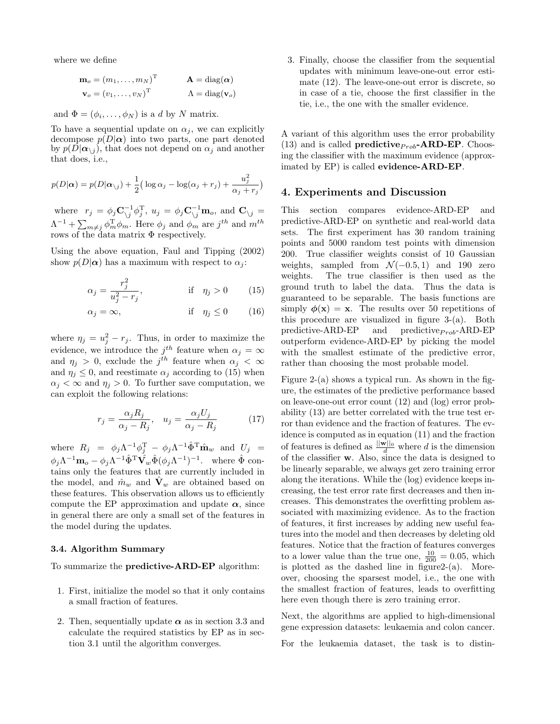where we define

$$
\mathbf{m}_o = (m_1, \dots, m_N)^{\mathrm{T}} \qquad \mathbf{A} = \mathrm{diag}(\boldsymbol{\alpha})
$$
  

$$
\mathbf{v}_o = (v_1, \dots, v_N)^{\mathrm{T}} \qquad \qquad \Lambda = \mathrm{diag}(\mathbf{v}_o)
$$

and  $\Phi = (\phi_i, \dots, \phi_N)$  is a d by N matrix.

To have a sequential update on  $\alpha_j$ , we can explicitly decompose  $p(D|\alpha)$  into two parts, one part denoted by  $p(D|\boldsymbol{\alpha}_{\setminus i})$ , that does not depend on  $\alpha_j$  and another that does, i.e.,

$$
p(D|\alpha) = p(D|\alpha_{\setminus j}) + \frac{1}{2} (\log \alpha_j - \log(\alpha_j + r_j) + \frac{u_j^2}{\alpha_j + r_j})
$$

where  $r_j = \phi_j \mathbf{C}_{\setminus j}^{-1} \phi_j^{\mathrm{T}}$ ,  $u_j = \phi_j \mathbf{C}_{\setminus j}^{-1} \mathbf{m}_o$ , and  $\mathbf{C}_{\setminus j}$  $\Lambda^{-1} + \sum_{m \neq j} \phi_m^{\mathrm{T}} \phi_m^{\dagger}$ . Here  $\phi_j$  and  $\phi_m^{\dagger}$  are  $j^{th}$  and  $m^{th}$ rows of the data matrix Φ respectively.

Using the above equation, Faul and Tipping (2002) show  $p(D|\alpha)$  has a maximum with respect to  $\alpha_i$ :

$$
\alpha_j = \frac{r_j^2}{u_j^2 - r_j}, \qquad \text{if} \quad \eta_j > 0 \qquad (15)
$$

$$
\alpha_j = \infty, \qquad \qquad \text{if} \quad \eta_j \le 0 \qquad (16)
$$

where  $\eta_j = u_j^2 - r_j$ . Thus, in order to maximize the evidence, we introduce the  $j^{th}$  feature when  $\alpha_j = \infty$ and  $\eta_j > 0$ , exclude the  $j^{th}$  feature when  $\alpha_j < \infty$ and  $\eta_j \leq 0$ , and reestimate  $\alpha_j$  according to (15) when  $\alpha_j < \infty$  and  $\eta_j > 0$ . To further save computation, we can exploit the following relations:

$$
r_j = \frac{\alpha_j R_j}{\alpha_j - R_j}, \quad u_j = \frac{\alpha_j U_j}{\alpha_j - R_j} \tag{17}
$$

where  $R_j = \phi_j \Lambda^{-1} \phi_j^{\mathrm{T}} - \phi_j \Lambda^{-1} \hat{\Phi}^{\mathrm{T}} \hat{\mathbf{m}}_w$  and  $U_j =$  $\phi_j \Lambda^{-1} \mathbf{m}_o - \phi_j \Lambda^{-1} \hat{\Phi}^{\mathrm{T}} \check{\mathbf{V}}_w \hat{\Phi} (\phi_j \Lambda^{-1})^{-1}$ . where  $\hat{\Phi}$  contains only the features that are currently included in the model, and  $\hat{m}_w$  and  $\hat{\mathbf{V}}_w$  are obtained based on these features. This observation allows us to efficiently compute the EP approximation and update  $\alpha$ , since in general there are only a small set of the features in the model during the updates.

#### 3.4. Algorithm Summary

To summarize the predictive-ARD-EP algorithm:

- 1. First, initialize the model so that it only contains a small fraction of features.
- 2. Then, sequentially update  $\alpha$  as in section 3.3 and calculate the required statistics by EP as in section 3.1 until the algorithm converges.

3. Finally, choose the classifier from the sequential updates with minimum leave-one-out error estimate (12). The leave-one-out error is discrete, so in case of a tie, choose the first classifier in the tie, i.e., the one with the smaller evidence.

A variant of this algorithm uses the error probability (13) and is called **predictive** $P_{\text{rob}}$ -**ARD-EP**. Choosing the classifier with the maximum evidence (approximated by EP) is called evidence-ARD-EP.

#### 4. Experiments and Discussion

This section compares evidence-ARD-EP and predictive-ARD-EP on synthetic and real-world data sets. The first experiment has 30 random training points and 5000 random test points with dimension 200. True classifier weights consist of 10 Gaussian weights, sampled from  $\mathcal{N}(-0.5, 1)$  and 190 zero weights. The true classifier is then used as the ground truth to label the data. Thus the data is guaranteed to be separable. The basis functions are simply  $\phi(\mathbf{x}) = \mathbf{x}$ . The results over 50 repetitions of this procedure are visualized in figure 3-(a). Both predictive-ARD-EP and predictive $_{Prob}$ -ARD-EP outperform evidence-ARD-EP by picking the model with the smallest estimate of the predictive error, rather than choosing the most probable model.

Figure 2-(a) shows a typical run. As shown in the figure, the estimates of the predictive performance based on leave-one-out error count (12) and (log) error probability (13) are better correlated with the true test error than evidence and the fraction of features. The evidence is computed as in equation (11) and the fraction of features is defined as  $\frac{\|\mathbf{w}\|_0}{d}$  where d is the dimension of the classifier w. Also, since the data is designed to be linearly separable, we always get zero training error along the iterations. While the (log) evidence keeps increasing, the test error rate first decreases and then increases. This demonstrates the overfitting problem associated with maximizing evidence. As to the fraction of features, it first increases by adding new useful features into the model and then decreases by deleting old features. Notice that the fraction of features converges to a lower value than the true one,  $\frac{10}{200} = 0.05$ , which is plotted as the dashed line in figure2-(a). Moreover, choosing the sparsest model, i.e., the one with the smallest fraction of features, leads to overfitting here even though there is zero training error.

Next, the algorithms are applied to high-dimensional gene expression datasets: leukaemia and colon cancer.

For the leukaemia dataset, the task is to distin-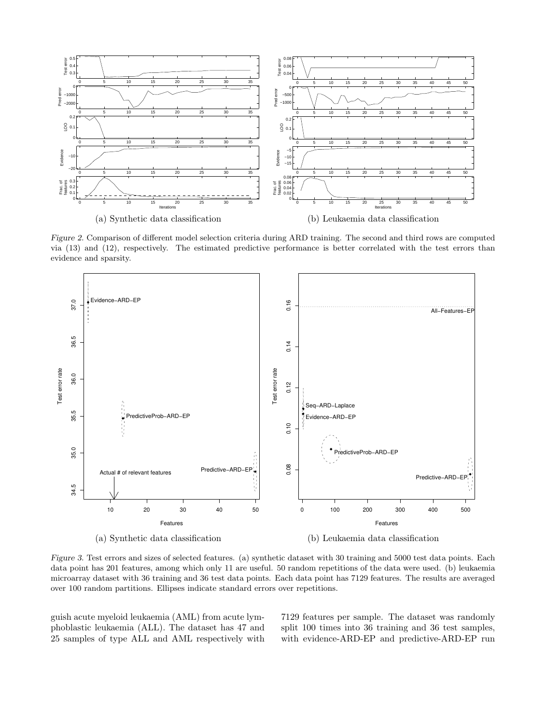

Figure 2. Comparison of different model selection criteria during ARD training. The second and third rows are computed via (13) and (12), respectively. The estimated predictive performance is better correlated with the test errors than evidence and sparsity.



Figure 3. Test errors and sizes of selected features. (a) synthetic dataset with 30 training and 5000 test data points. Each data point has 201 features, among which only 11 are useful. 50 random repetitions of the data were used. (b) leukaemia microarray dataset with 36 training and 36 test data points. Each data point has 7129 features. The results are averaged over 100 random partitions. Ellipses indicate standard errors over repetitions.

guish acute myeloid leukaemia (AML) from acute lymphoblastic leukaemia (ALL). The dataset has 47 and 25 samples of type ALL and AML respectively with 7129 features per sample. The dataset was randomly split 100 times into 36 training and 36 test samples, with evidence-ARD-EP and predictive-ARD-EP run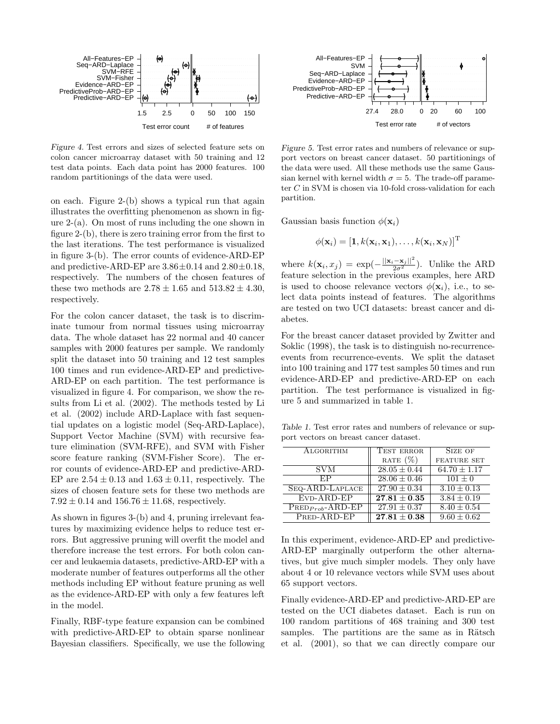

Figure 4. Test errors and sizes of selected feature sets on colon cancer microarray dataset with 50 training and 12 test data points. Each data point has 2000 features. 100 random partitionings of the data were used.

on each. Figure 2-(b) shows a typical run that again illustrates the overfitting phenomenon as shown in figure 2-(a). On most of runs including the one shown in figure 2-(b), there is zero training error from the first to the last iterations. The test performance is visualized in figure 3-(b). The error counts of evidence-ARD-EP and predictive-ARD-EP are  $3.86\pm0.14$  and  $2.80\pm0.18$ , respectively. The numbers of the chosen features of these two methods are  $2.78 \pm 1.65$  and  $513.82 \pm 4.30$ , respectively.

For the colon cancer dataset, the task is to discriminate tumour from normal tissues using microarray data. The whole dataset has 22 normal and 40 cancer samples with 2000 features per sample. We randomly split the dataset into 50 training and 12 test samples 100 times and run evidence-ARD-EP and predictive-ARD-EP on each partition. The test performance is visualized in figure 4. For comparison, we show the results from Li et al. (2002). The methods tested by Li et al. (2002) include ARD-Laplace with fast sequential updates on a logistic model (Seq-ARD-Laplace), Support Vector Machine (SVM) with recursive feature elimination (SVM-RFE), and SVM with Fisher score feature ranking (SVM-Fisher Score). The error counts of evidence-ARD-EP and predictive-ARD-EP are  $2.54 \pm 0.13$  and  $1.63 \pm 0.11$ , respectively. The sizes of chosen feature sets for these two methods are  $7.92 \pm 0.14$  and  $156.76 \pm 11.68$ , respectively.

As shown in figures 3-(b) and 4, pruning irrelevant features by maximizing evidence helps to reduce test errors. But aggressive pruning will overfit the model and therefore increase the test errors. For both colon cancer and leukaemia datasets, predictive-ARD-EP with a moderate number of features outperforms all the other methods including EP without feature pruning as well as the evidence-ARD-EP with only a few features left in the model.

Finally, RBF-type feature expansion can be combined with predictive-ARD-EP to obtain sparse nonlinear Bayesian classifiers. Specifically, we use the following



Figure 5. Test error rates and numbers of relevance or support vectors on breast cancer dataset. 50 partitionings of the data were used. All these methods use the same Gaussian kernel with kernel width  $\sigma = 5$ . The trade-off parameter C in SVM is chosen via 10-fold cross-validation for each partition.

Gaussian basis function  $\phi(\mathbf{x}_i)$ 

$$
\phi(\mathbf{x}_i) = [1, k(\mathbf{x}_i, \mathbf{x}_1), \dots, k(\mathbf{x}_i, \mathbf{x}_N)]^{\mathrm{T}}
$$

where  $k(\mathbf{x}_i, x_j) = \exp(-\frac{||\mathbf{x}_i - \mathbf{x}_j||^2}{2\sigma^2})$ . Unlike the ARD feature selection in the previous examples, here ARD is used to choose relevance vectors  $\phi(\mathbf{x}_i)$ , i.e., to select data points instead of features. The algorithms are tested on two UCI datasets: breast cancer and diabetes.

For the breast cancer dataset provided by Zwitter and Soklic (1998), the task is to distinguish no-recurrenceevents from recurrence-events. We split the dataset into 100 training and 177 test samples 50 times and run evidence-ARD-EP and predictive-ARD-EP on each partition. The test performance is visualized in figure 5 and summarized in table 1.

Table 1. Test error rates and numbers of relevance or support vectors on breast cancer dataset.

| <b>ALGORITHM</b>      | <b>TEST ERROR</b> | <b>SIZE OF</b>     |
|-----------------------|-------------------|--------------------|
|                       | RATE $(\%)$       | <b>FEATURE SET</b> |
| SVM.                  | $28.05 \pm 0.44$  | $64.70 \pm 1.17$   |
| ЕP                    | $28.06 \pm 0.46$  | $101 + 0$          |
| SEQ-ARD-LAPLACE       | $27.90 \pm 0.34$  | $3.10 + 0.13$      |
| $EVD-ARD-EP$          | $27.81 \pm 0.35$  | $3.84 \pm 0.19$    |
| $PRED_{Prob}$ -ARD-EP | $27.91 \pm 0.37$  | $8.40 \pm 0.54$    |
| PRED-ARD-EP           | $27.81 \pm 0.38$  | $9.60 \pm 0.62$    |

In this experiment, evidence-ARD-EP and predictive-ARD-EP marginally outperform the other alternatives, but give much simpler models. They only have about 4 or 10 relevance vectors while SVM uses about 65 support vectors.

Finally evidence-ARD-EP and predictive-ARD-EP are tested on the UCI diabetes dataset. Each is run on 100 random partitions of 468 training and 300 test samples. The partitions are the same as in Rätsch et al. (2001), so that we can directly compare our